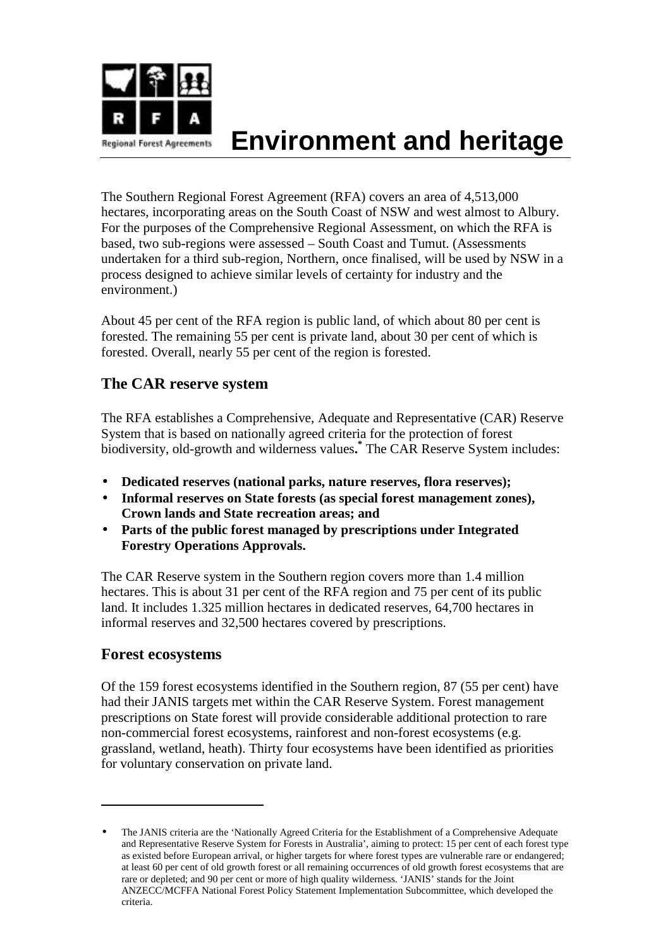

# **Environment and heritage**

The Southern Regional Forest Agreement (RFA) covers an area of 4,513,000 hectares, incorporating areas on the South Coast of NSW and west almost to Albury. For the purposes of the Comprehensive Regional Assessment, on which the RFA is based, two sub-regions were assessed – South Coast and Tumut. (Assessments undertaken for a third sub-region, Northern, once finalised, will be used by NSW in a process designed to achieve similar levels of certainty for industry and the environment.)

About 45 per cent of the RFA region is public land, of which about 80 per cent is forested. The remaining 55 per cent is private land, about 30 per cent of which is forested. Overall, nearly 55 per cent of the region is forested.

## **The CAR reserve system**

The RFA establishes a Comprehensive, Adequate and Representative (CAR) Reserve System that is based on nationally agreed criteria for the protection of forest biodiversity, old-growth and wilderness values**. \*** The CAR Reserve System includes:

- **Dedicated reserves (national parks, nature reserves, flora reserves);**
- **Informal reserves on State forests (as special forest management zones), Crown lands and State recreation areas; and**
- **Parts of the public forest managed by prescriptions under Integrated Forestry Operations Approvals.**

The CAR Reserve system in the Southern region covers more than 1.4 million hectares. This is about 31 per cent of the RFA region and 75 per cent of its public land. It includes 1.325 million hectares in dedicated reserves, 64,700 hectares in informal reserves and 32,500 hectares covered by prescriptions.

#### **Forest ecosystems**

 $\overline{a}$ 

Of the 159 forest ecosystems identified in the Southern region, 87 (55 per cent) have had their JANIS targets met within the CAR Reserve System. Forest management prescriptions on State forest will provide considerable additional protection to rare non-commercial forest ecosystems, rainforest and non-forest ecosystems (e.g. grassland, wetland, heath). Thirty four ecosystems have been identified as priorities for voluntary conservation on private land.

<sup>•</sup> The JANIS criteria are the 'Nationally Agreed Criteria for the Establishment of a Comprehensive Adequate and Representative Reserve System for Forests in Australia', aiming to protect: 15 per cent of each forest type as existed before European arrival, or higher targets for where forest types are vulnerable rare or endangered; at least 60 per cent of old growth forest or all remaining occurrences of old growth forest ecosystems that are rare or depleted; and 90 per cent or more of high quality wilderness. 'JANIS' stands for the Joint ANZECC/MCFFA National Forest Policy Statement Implementation Subcommittee, which developed the criteria.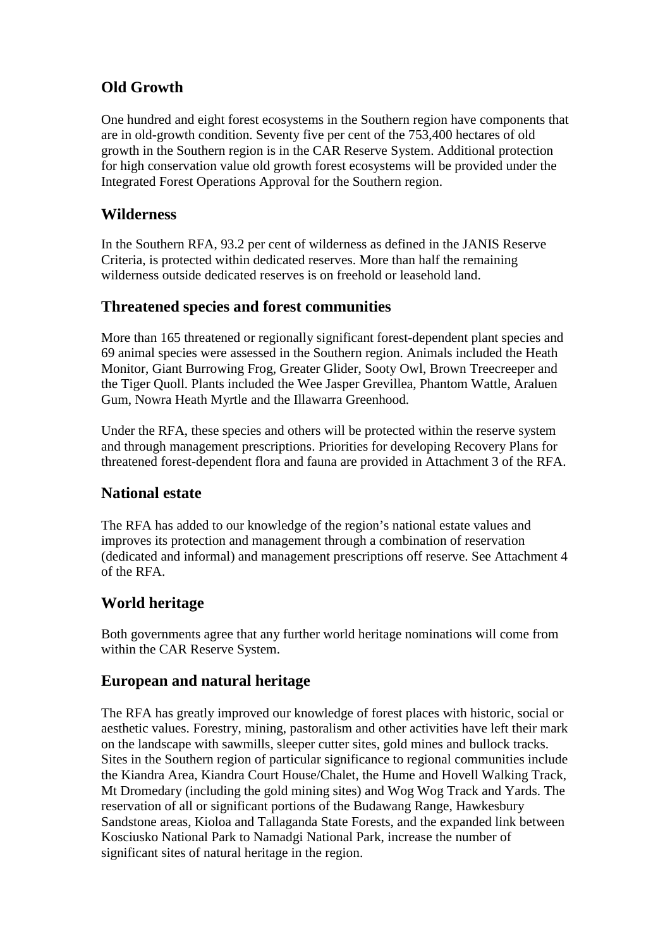## **Old Growth**

One hundred and eight forest ecosystems in the Southern region have components that are in old-growth condition. Seventy five per cent of the 753,400 hectares of old growth in the Southern region is in the CAR Reserve System. Additional protection for high conservation value old growth forest ecosystems will be provided under the Integrated Forest Operations Approval for the Southern region.

### **Wilderness**

In the Southern RFA, 93.2 per cent of wilderness as defined in the JANIS Reserve Criteria, is protected within dedicated reserves. More than half the remaining wilderness outside dedicated reserves is on freehold or leasehold land.

## **Threatened species and forest communities**

More than 165 threatened or regionally significant forest-dependent plant species and 69 animal species were assessed in the Southern region. Animals included the Heath Monitor, Giant Burrowing Frog, Greater Glider, Sooty Owl, Brown Treecreeper and the Tiger Quoll. Plants included the Wee Jasper Grevillea, Phantom Wattle, Araluen Gum, Nowra Heath Myrtle and the Illawarra Greenhood.

Under the RFA, these species and others will be protected within the reserve system and through management prescriptions. Priorities for developing Recovery Plans for threatened forest-dependent flora and fauna are provided in Attachment 3 of the RFA.

#### **National estate**

The RFA has added to our knowledge of the region's national estate values and improves its protection and management through a combination of reservation (dedicated and informal) and management prescriptions off reserve. See Attachment 4 of the RFA.

## **World heritage**

Both governments agree that any further world heritage nominations will come from within the CAR Reserve System.

#### **European and natural heritage**

The RFA has greatly improved our knowledge of forest places with historic, social or aesthetic values. Forestry, mining, pastoralism and other activities have left their mark on the landscape with sawmills, sleeper cutter sites, gold mines and bullock tracks. Sites in the Southern region of particular significance to regional communities include the Kiandra Area, Kiandra Court House/Chalet, the Hume and Hovell Walking Track, Mt Dromedary (including the gold mining sites) and Wog Wog Track and Yards. The reservation of all or significant portions of the Budawang Range, Hawkesbury Sandstone areas, Kioloa and Tallaganda State Forests, and the expanded link between Kosciusko National Park to Namadgi National Park, increase the number of significant sites of natural heritage in the region.